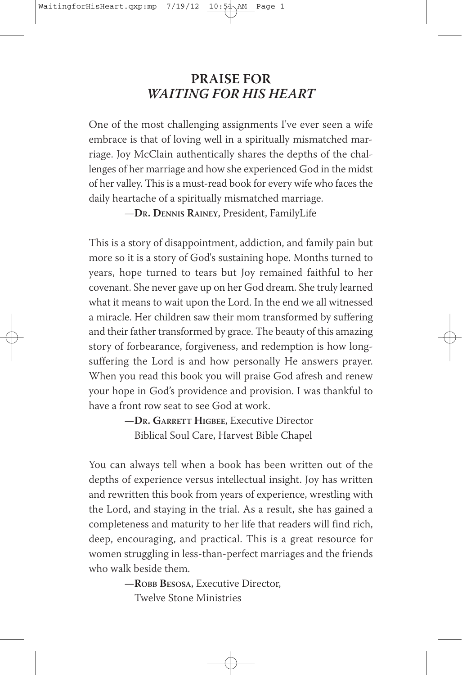#### **PRAISE FOR** *WAITING FOR HIS HEART*

One of the most challenging assignments I've ever seen a wife embrace is that of loving well in a spiritually mismatched marriage. Joy McClain authentically shares the depths of the challenges of her marriage and how she experienced God in the midst of her valley. This is a must-read book for every wife who faces the daily heartache of a spiritually mismatched marriage.

—**DR. DENNIS RAINEY**, President, FamilyLife

This is a story of disappointment, addiction, and family pain but more so it is a story of God's sustaining hope. Months turned to years, hope turned to tears but Joy remained faithful to her covenant. She never gave up on her God dream. She truly learned what it means to wait upon the Lord. In the end we all witnessed a miracle. Her children saw their mom transformed by suffering and their father transformed by grace. The beauty of this amazing story of forbearance, forgiveness, and redemption is how longsuffering the Lord is and how personally He answers prayer. When you read this book you will praise God afresh and renew your hope in God's providence and provision. I was thankful to have a front row seat to see God at work.

> —**DR. GARRETT HIGBEE**, Executive Director Biblical Soul Care, Harvest Bible Chapel

You can always tell when a book has been written out of the depths of experience versus intellectual insight. Joy has written and rewritten this book from years of experience, wrestling with the Lord, and staying in the trial. As a result, she has gained a completeness and maturity to her life that readers will find rich, deep, encouraging, and practical. This is a great resource for women struggling in less-than-perfect marriages and the friends who walk beside them.

> —**ROBB BESOSA**, Executive Director, Twelve Stone Ministries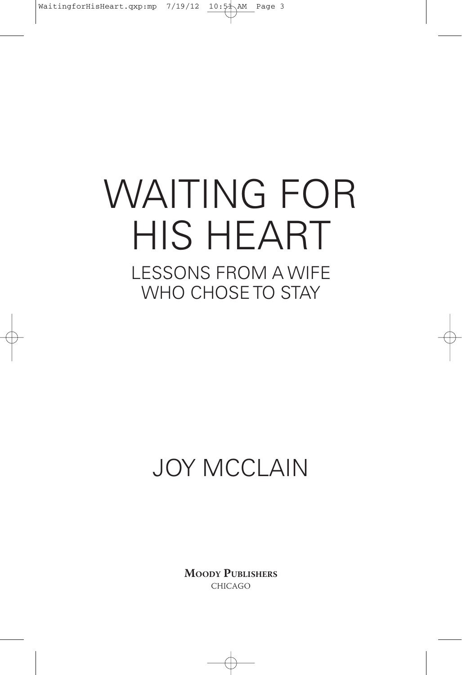# WAITING FOR HIS HEART LESSONS FROM A WIFE WHO CHOSE TO STAY

## JOY MCCLAIN

**MOODY PUBLISHERS** CHICAGO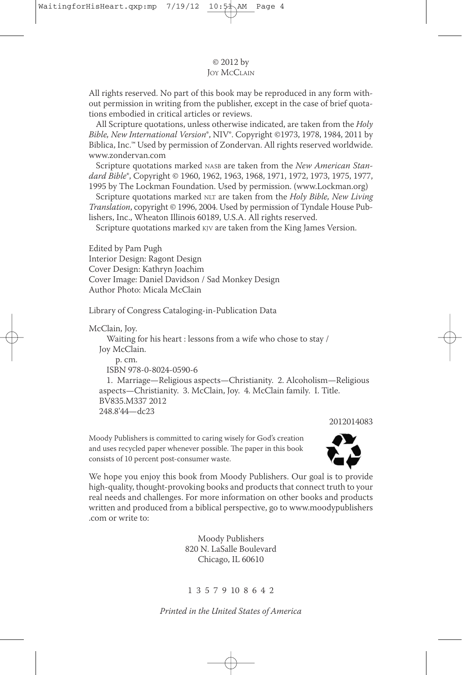#### © 2012 by **JOY MCCLAIN**

All rights reserved. No part of this book may be reproduced in any form without permission in writing from the publisher, except in the case of brief quotations embodied in critical articles or reviews.

All Scripture quotations, unless otherwise indicated, are taken from the Holy Bible, New International Version®, NIV®. Copyright ©1973, 1978, 1984, 2011 by Biblica, Inc.™ Used by permission of Zondervan. All rights reserved worldwide. www.zondervan.com

Scripture quotations marked NASB are taken from the New American Standard Bible®, Copyright © 1960, 1962, 1963, 1968, 1971, 1972, 1973, 1975, 1977, 1995 by The Lockman Foundation. Used by permission. (www.Lockman.org)

Scripture quotations marked NLT are taken from the Holy Bible, New Living Translation, copyright © 1996, 2004. Used by permission of Tyndale House Publishers, Inc., Wheaton Illinois 60189, U.S.A. All rights reserved.

Scripture quotations marked KJV are taken from the King James Version.

Edited by Pam Pugh Interior Design: Ragont Design Cover Design: kathryn Joachim Cover Image: Daniel Davidson / Sad Monkey Design Author Photo: Micala McClain

Library of Congress Cataloging-in-Publication Data

McClain, Joy.

Waiting for his heart : lessons from a wife who chose to stay / Joy McClain. p. cm. ISBn 978-0-8024-0590-6

1. Marriage—Religious aspects—Christianity. 2. Alcoholism—Religious aspects—Christianity. 3. McClain, Joy. 4. McClain family. I. Title. BV835.M337 2012 248.8'44—dc23

2012014083

Moody Publishers is committed to caring wisely for God's creation and uses recycled paper whenever possible. The paper in this book consists of 10 percent post-consumer waste.



We hope you enjoy this book from Moody Publishers. Our goal is to provide high-quality, thought-provoking books and products that connect truth to your real needs and challenges. For more information on other books and products written and produced from a biblical perspective, go to www.moodypublishers .com or write to:

> Moody Publishers 820 n. LaSalle Boulevard Chicago, IL 60610

1 3 5 7 9 10 8 6 4 2

Printed in the United States of America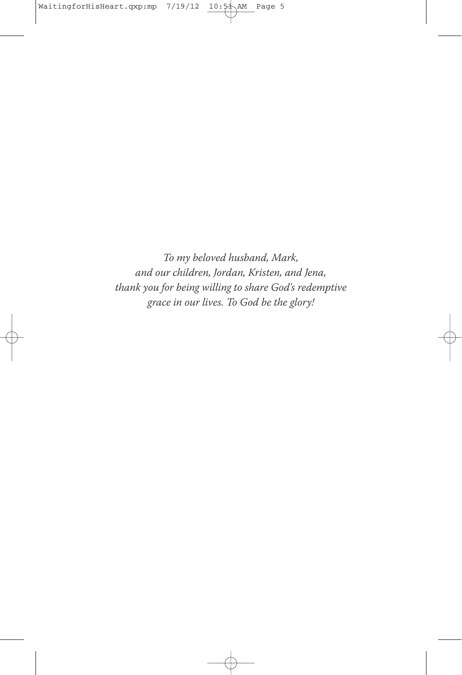To my beloved husband, Mark, and our children, Jordan, Kristen, and Jena, thank you for being willing to share God's redemptive grace in our lives. To God be the glory!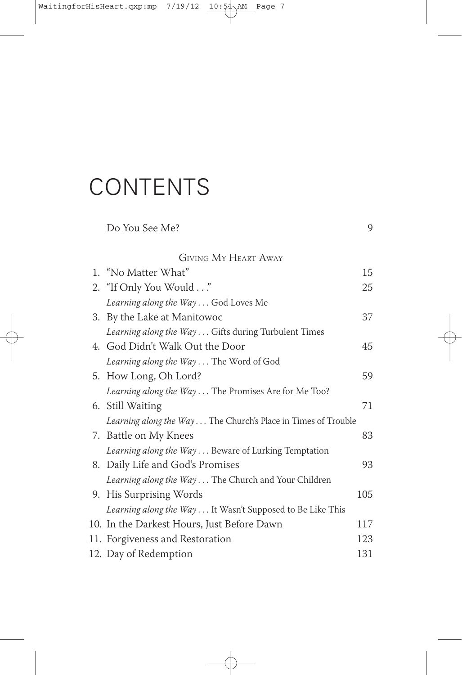## **CONTENTS**

|                | Do You See Me?                                                | 9   |
|----------------|---------------------------------------------------------------|-----|
|                | <b>GIVING MY HEART AWAY</b>                                   |     |
| $\mathbf{1}$ . | "No Matter What"                                              | 15  |
|                | 2. "If Only You Would"                                        | 25  |
|                | Learning along the Way God Loves Me                           |     |
|                | 3. By the Lake at Manitowoc                                   | 37  |
|                | Learning along the Way Gifts during Turbulent Times           |     |
|                | 4. God Didn't Walk Out the Door                               | 45  |
|                | Learning along the Way The Word of God                        |     |
|                | 5. How Long, Oh Lord?                                         | 59  |
|                | Learning along the Way The Promises Are for Me Too?           |     |
|                | 6. Still Waiting                                              | 71  |
|                | Learning along the Way The Church's Place in Times of Trouble |     |
|                | 7. Battle on My Knees                                         | 83  |
|                | Learning along the Way Beware of Lurking Temptation           |     |
|                | 8. Daily Life and God's Promises                              | 93  |
|                | Learning along the Way The Church and Your Children           |     |
|                | 9. His Surprising Words                                       | 105 |
|                | Learning along the Way It Wasn't Supposed to Be Like This     |     |
|                | 10. In the Darkest Hours, Just Before Dawn                    | 117 |
|                | 11. Forgiveness and Restoration                               | 123 |
|                | 12. Day of Redemption                                         | 131 |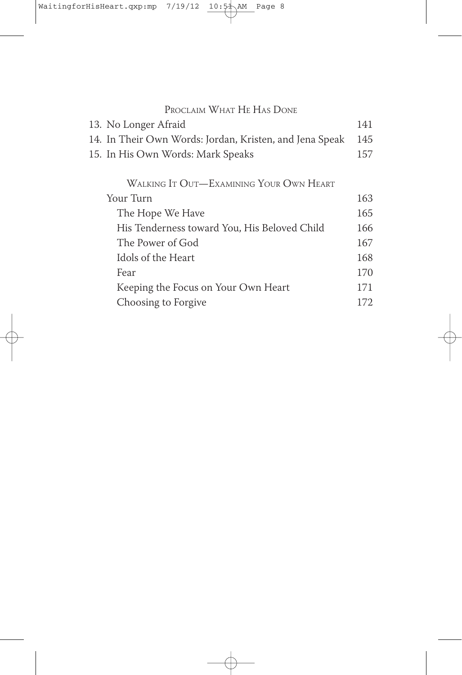| 13. No Longer Afraid                                    | 141  |
|---------------------------------------------------------|------|
| 14. In Their Own Words: Jordan, Kristen, and Jena Speak | 145  |
| 15. In His Own Words: Mark Speaks                       | 157  |
| WALKING IT OUT-EXAMINING YOUR OWN HEART                 |      |
| Your Turn                                               | 163  |
| The Hope We Have                                        | 165  |
| His Tenderness toward You, His Beloved Child            | 166  |
| The Power of God                                        | 167  |
| Idols of the Heart                                      | 168  |
| Fear                                                    | 170  |
| Keeping the Focus on Your Own Heart                     | 171  |
| Choosing to Forgive                                     | 172. |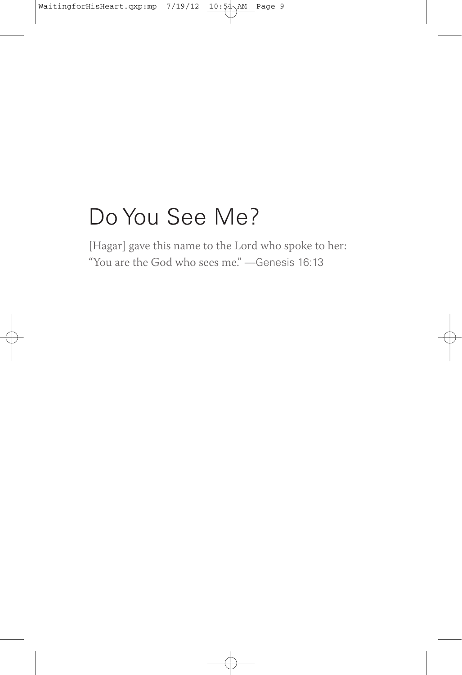#### Do You See Me?

[Hagar] gave this name to the Lord who spoke to her: "You are the God who sees me." —Genesis 16:13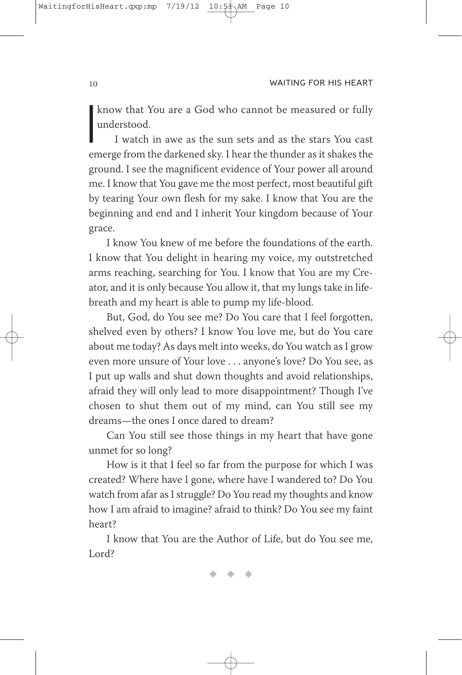know that You are a God who cannot be measured or fully understood.

know that You are a God who cannot be measured or fully understood.<br>I watch in awe as the sun sets and as the stars You cast emerge from the darkened sky. I hear the thunder as it shakes the I watch in awe as the sun sets and as the stars You cast ground. I see the magnificent evidence of Your power all around me. I know that You gave me the most perfect, most beautiful gift by tearing Your own flesh for my sake. I know that You are the beginning and end and I inherit Your kingdom because of Your grace.

I know You knew of me before the foundations of the earth. I know that You delight in hearing my voice, my outstretched arms reaching, searching for You. I know that You are my Creator, and it is only because You allow it, that my lungs take in lifebreath and my heart is able to pump my life-blood.

But, God, do You see me? Do You care that I feel forgotten, shelved even by others? I know You love me, but do You care about me today? As days melt into weeks, do You watch as I grow even more unsure of Your love . . . anyone's love? Do You see, as I put up walls and shut down thoughts and avoid relationships, afraid they will only lead to more disappointment? Though I've chosen to shut them out of my mind, can You still see my dreams—the ones I once dared to dream?

Can You still see those things in my heart that have gone unmet for so long?

How is it that I feel so far from the purpose for which I was created? Where have I gone, where have I wandered to? Do You watch from afar as I struggle? Do You read my thoughts and know how I am afraid to imagine? afraid to think? Do You see my faint heart?

I know that You are the Author of Life, but do You see me, Lord?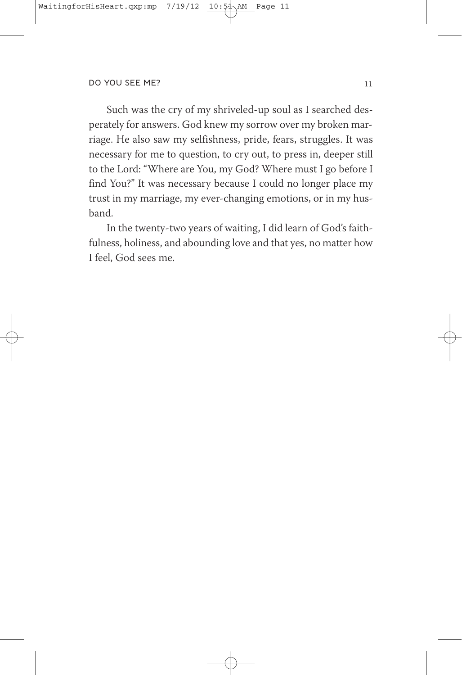Such was the cry of my shriveled-up soul as I searched desperately for answers. God knew my sorrow over my broken marriage. He also saw my selfishness, pride, fears, struggles. It was necessary for me to question, to cry out, to press in, deeper still to the Lord: "Where are You, my God? Where must I go before I find You?" It was necessary because I could no longer place my trust in my marriage, my ever-changing emotions, or in my husband.

In the twenty-two years of waiting, I did learn of God's faithfulness, holiness, and abounding love and that yes, no matter how I feel, God sees me.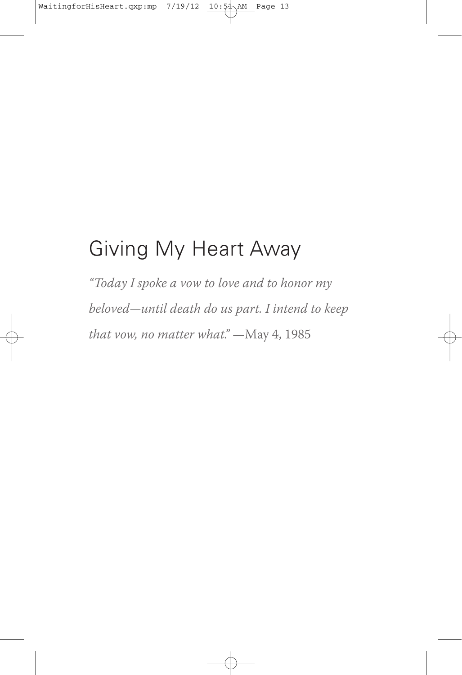#### Giving My Heart Away

"Today I spoke a vow to love and to honor my beloved—until death do us part. I intend to keep that vow, no matter what." —May 4, 1985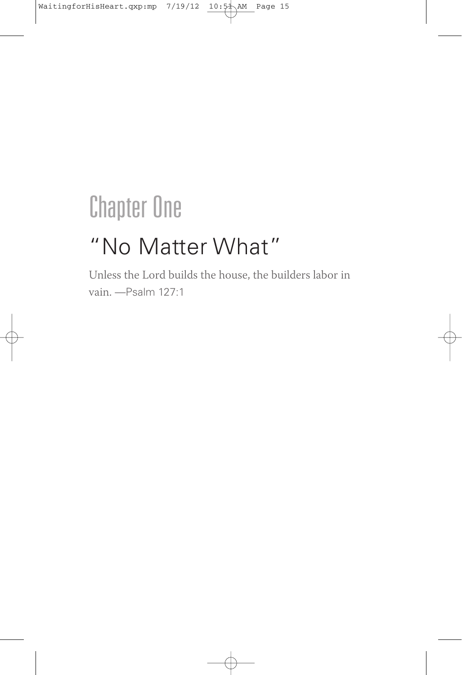## **Chapter One**

### "No Matter What"

Unless the Lord builds the house, the builders labor in vain. —Psalm 127:1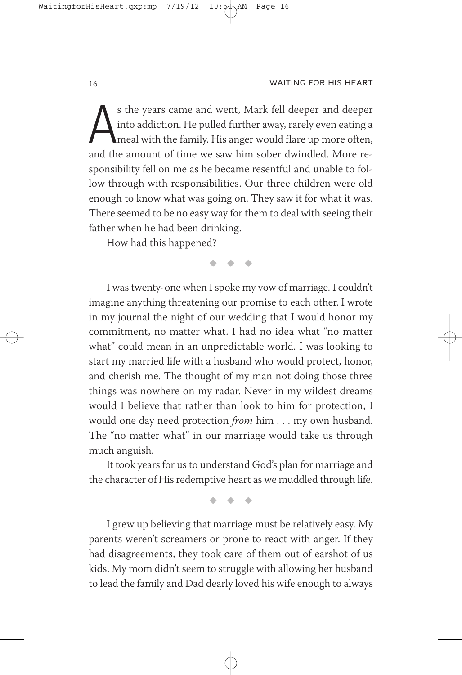s the years came and went, Mark fell deeper and deeper into addiction. He pulled further away, rarely even eating a meal with the family. His anger would flare up more often, and the amount of time we saw him sober dwindle s the years came and went, Mark fell deeper and deeper into addiction. He pulled further away, rarely even eating a meal with the family. His anger would flare up more often, sponsibility fell on me as he became resentful and unable to follow through with responsibilities. Our three children were old enough to know what was going on. They saw it for what it was. There seemed to be no easy way for them to deal with seeing their father when he had been drinking.

How had this happened?

 $\blacklozenge$  $\bullet$  $\bullet$   $\bullet$ 

I was twenty-one when I spoke my vow of marriage. I couldn't imagine anything threatening our promise to each other. I wrote in my journal the night of our wedding that I would honor my commitment, no matter what. I had no idea what "no matter what" could mean in an unpredictable world. I was looking to start my married life with a husband who would protect, honor, and cherish me. The thought of my man not doing those three things was nowhere on my radar. Never in my wildest dreams would I believe that rather than look to him for protection, I would one day need protection from him . . . my own husband. The "no matter what" in our marriage would take us through much anguish.

It took years for us to understand God's plan for marriage and the character of His redemptive heart as we muddled through life.

> $\blacklozenge$  $\bullet$  $\bullet$

I grew up believing that marriage must be relatively easy. My parents weren't screamers or prone to react with anger. If they had disagreements, they took care of them out of earshot of us kids. My mom didn't seem to struggle with allowing her husband to lead the family and Dad dearly loved his wife enough to always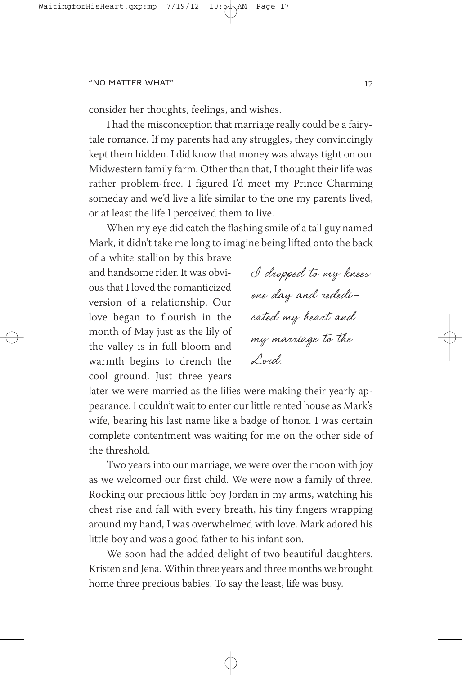consider her thoughts, feelings, and wishes.

I had the misconception that marriage really could be a fairytale romance. If my parents had any struggles, they convincingly kept them hidden. I did know that money was always tight on our Midwestern family farm. Other than that, I thought their life was rather problem-free. I figured I'd meet my Prince Charming someday and we'd live a life similar to the one my parents lived, or at least the life I perceived them to live.

When my eye did catch the flashing smile of a tall guy named Mark, it didn't take me long to imagine being lifted onto the back

of a white stallion by this brave and handsome rider. It was obvious that I loved the romanticized version of a relationship. Our love began to flourish in the month of May just as the lily of the valley is in full bloom and warmth begins to drench the cool ground. Just three years

I dropped to my knees one day and rededicated my heart and my marriage to the Lord.

later we were married as the lilies were making their yearly appearance. I couldn't wait to enter our little rented house as Mark's wife, bearing his last name like a badge of honor. I was certain complete contentment was waiting for me on the other side of the threshold.

Two years into our marriage, we were over the moon with joy as we welcomed our first child. We were now a family of three. Rocking our precious little boy Jordan in my arms, watching his chest rise and fall with every breath, his tiny fingers wrapping around my hand, I was overwhelmed with love. Mark adored his little boy and was a good father to his infant son.

We soon had the added delight of two beautiful daughters. kristen and Jena. Within three years and three months we brought home three precious babies. To say the least, life was busy.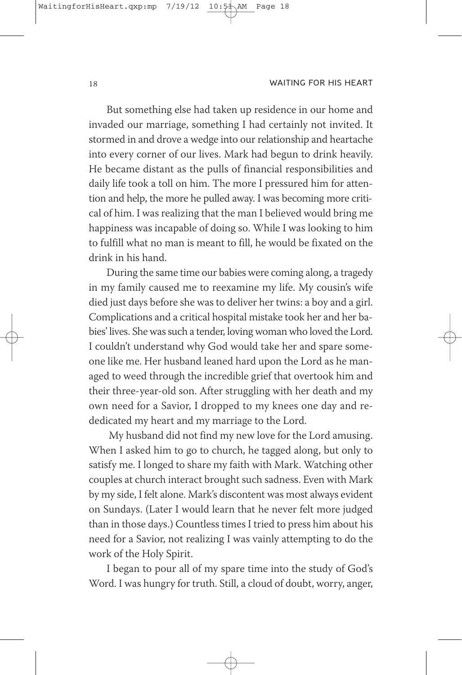But something else had taken up residence in our home and invaded our marriage, something I had certainly not invited. It stormed in and drove a wedge into our relationship and heartache into every corner of our lives. Mark had begun to drink heavily. He became distant as the pulls of financial responsibilities and daily life took a toll on him. The more I pressured him for attention and help, the more he pulled away. I was becoming more critical of him. I was realizing that the man I believed would bring me happiness was incapable of doing so. While I was looking to him to fulfill what no man is meant to fill, he would be fixated on the drink in his hand.

During the same time our babies were coming along, a tragedy in my family caused me to reexamine my life. My cousin's wife died just days before she was to deliver her twins: a boy and a girl. Complications and a critical hospital mistake took her and her babies' lives. She was such a tender, loving woman who loved the Lord. I couldn't understand why God would take her and spare someone like me. Her husband leaned hard upon the Lord as he managed to weed through the incredible grief that overtook him and their three-year-old son. After struggling with her death and my own need for a Savior, I dropped to my knees one day and rededicated my heart and my marriage to the Lord.

My husband did not find my new love for the Lord amusing. When I asked him to go to church, he tagged along, but only to satisfy me. I longed to share my faith with Mark. Watching other couples at church interact brought such sadness. Even with Mark by my side, I felt alone. Mark's discontent was most always evident on Sundays. (Later I would learn that he never felt more judged than in those days.) Countless times I tried to press him about his need for a Savior, not realizing I was vainly attempting to do the work of the Holy Spirit.

I began to pour all of my spare time into the study of God's Word. I was hungry for truth. Still, a cloud of doubt, worry, anger,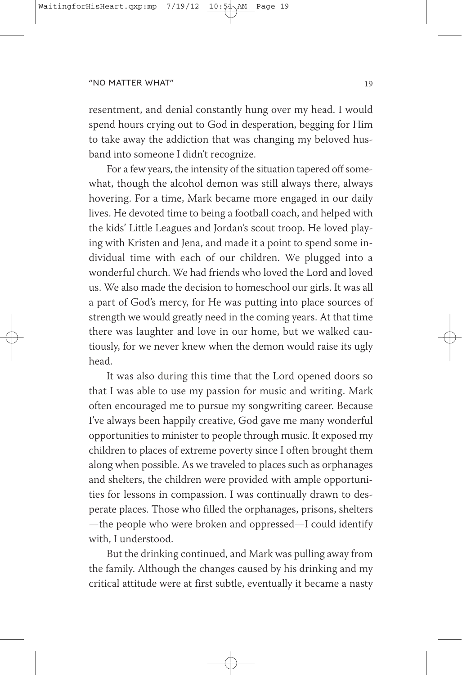resentment, and denial constantly hung over my head. I would spend hours crying out to God in desperation, begging for Him to take away the addiction that was changing my beloved husband into someone I didn't recognize.

For a few years, the intensity of the situation tapered off somewhat, though the alcohol demon was still always there, always hovering. For a time, Mark became more engaged in our daily lives. He devoted time to being a football coach, and helped with the kids' Little Leagues and Jordan's scout troop. He loved playing with kristen and Jena, and made it a point to spend some individual time with each of our children. We plugged into a wonderful church. We had friends who loved the Lord and loved us. We also made the decision to homeschool our girls. It was all a part of God's mercy, for He was putting into place sources of strength we would greatly need in the coming years. At that time there was laughter and love in our home, but we walked cautiously, for we never knew when the demon would raise its ugly head.

It was also during this time that the Lord opened doors so that I was able to use my passion for music and writing. Mark often encouraged me to pursue my songwriting career. Because I've always been happily creative, God gave me many wonderful opportunities to minister to people through music. It exposed my children to places of extreme poverty since I often brought them along when possible. As we traveled to places such as orphanages and shelters, the children were provided with ample opportunities for lessons in compassion. I was continually drawn to desperate places. Those who filled the orphanages, prisons, shelters —the people who were broken and oppressed—I could identify with, I understood.

But the drinking continued, and Mark was pulling away from the family. Although the changes caused by his drinking and my critical attitude were at first subtle, eventually it became a nasty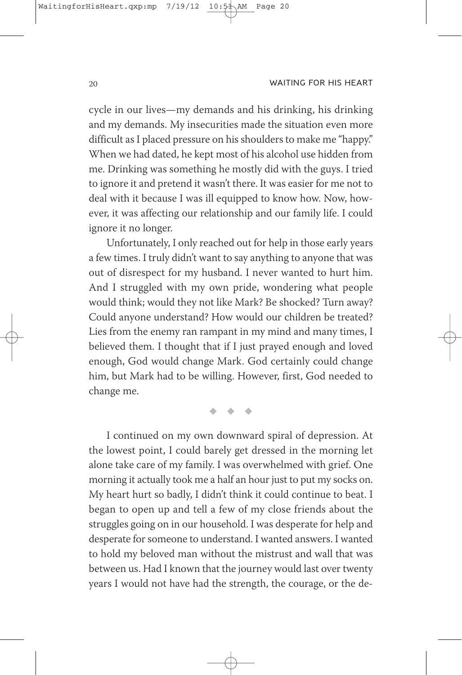cycle in our lives—my demands and his drinking, his drinking and my demands. My insecurities made the situation even more difficult as I placed pressure on his shoulders to make me "happy." When we had dated, he kept most of his alcohol use hidden from me. Drinking was something he mostly did with the guys. I tried to ignore it and pretend it wasn't there. It was easier for me not to deal with it because I was ill equipped to know how. Now, however, it was affecting our relationship and our family life. I could ignore it no longer.

Unfortunately, I only reached out for help in those early years a few times. I truly didn't want to say anything to anyone that was out of disrespect for my husband. I never wanted to hurt him. And I struggled with my own pride, wondering what people would think; would they not like Mark? Be shocked? Turn away? Could anyone understand? How would our children be treated? Lies from the enemy ran rampant in my mind and many times, I believed them. I thought that if I just prayed enough and loved enough, God would change Mark. God certainly could change him, but Mark had to be willing. However, first, God needed to change me.

> $\blacklozenge$  $\bullet$  $\bullet$

I continued on my own downward spiral of depression. At the lowest point, I could barely get dressed in the morning let alone take care of my family. I was overwhelmed with grief. One morning it actually took me a half an hour just to put my socks on. My heart hurt so badly, I didn't think it could continue to beat. I began to open up and tell a few of my close friends about the struggles going on in our household. I was desperate for help and desperate for someone to understand. I wanted answers. I wanted to hold my beloved man without the mistrust and wall that was between us. Had I known that the journey would last over twenty years I would not have had the strength, the courage, or the de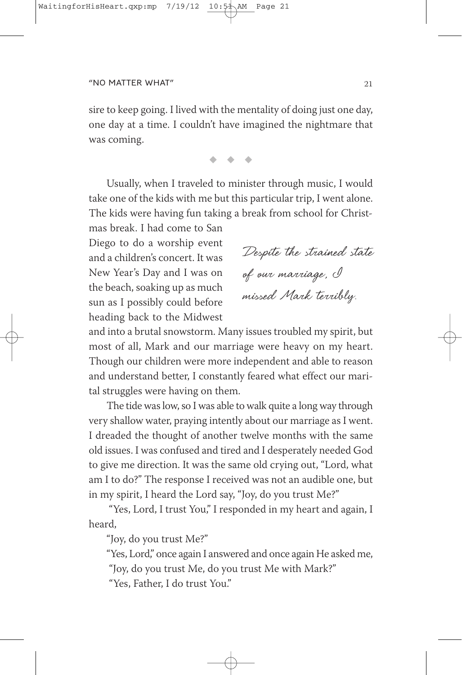sire to keep going. I lived with the mentality of doing just one day, one day at a time. I couldn't have imagined the nightmare that was coming.

 $\bullet$   $\bullet$   $\bullet$ 

Usually, when I traveled to minister through music, I would take one of the kids with me but this particular trip, I went alone. The kids were having fun taking a break from school for Christ-

mas break. I had come to San Diego to do a worship event and a children's concert. It was New Year's Day and I was on the beach, soaking up as much sun as I possibly could before heading back to the Midwest

Despite the strained state of our marriage, I missed Mark terribly.

and into a brutal snowstorm. Many issues troubled my spirit, but most of all, Mark and our marriage were heavy on my heart. Though our children were more independent and able to reason and understand better, I constantly feared what effect our marital struggles were having on them.

The tide was low, so I was able to walk quite a long way through very shallow water, praying intently about our marriage as I went. I dreaded the thought of another twelve months with the same old issues. I was confused and tired and I desperately needed God to give me direction. It was the same old crying out, "Lord, what am I to do?" The response I received was not an audible one, but in my spirit, I heard the Lord say, "Joy, do you trust Me?"

"Yes, Lord, I trust You," I responded in my heart and again, I heard,

"Joy, do you trust Me?"

"Yes, Lord," once again I answered and once again He asked me,

"Joy, do you trust Me, do you trust Me with Mark?"

"Yes, Father, I do trust You."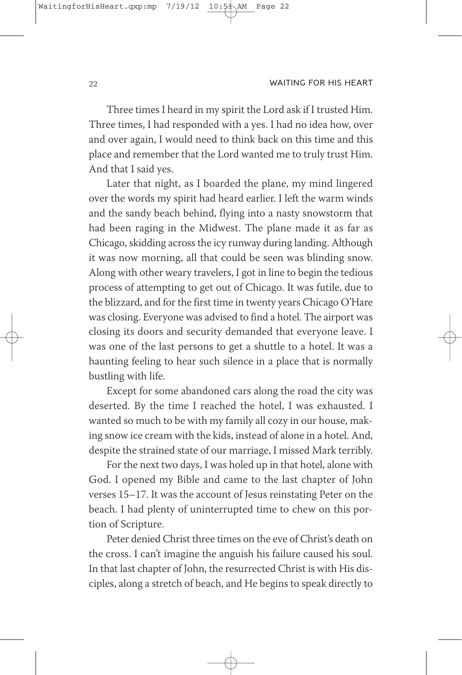Three times I heard in my spirit the Lord ask if I trusted Him. Three times, I had responded with a yes. I had no idea how, over and over again, I would need to think back on this time and this place and remember that the Lord wanted me to truly trust Him. And that I said yes.

Later that night, as I boarded the plane, my mind lingered over the words my spirit had heard earlier. I left the warm winds and the sandy beach behind, flying into a nasty snowstorm that had been raging in the Midwest. The plane made it as far as Chicago, skidding across the icy runway during landing. Although it was now morning, all that could be seen was blinding snow. Along with other weary travelers, I got in line to begin the tedious process of attempting to get out of Chicago. It was futile, due to the blizzard, and for the first time in twenty years Chicago O'Hare was closing. Everyone was advised to find a hotel. The airport was closing its doors and security demanded that everyone leave. I was one of the last persons to get a shuttle to a hotel. It was a haunting feeling to hear such silence in a place that is normally bustling with life.

Except for some abandoned cars along the road the city was deserted. By the time I reached the hotel, I was exhausted. I wanted so much to be with my family all cozy in our house, making snow ice cream with the kids, instead of alone in a hotel. And, despite the strained state of our marriage, I missed Mark terribly.

For the next two days, I was holed up in that hotel, alone with God. I opened my Bible and came to the last chapter of John verses 15–17. It was the account of Jesus reinstating Peter on the beach. I had plenty of uninterrupted time to chew on this portion of Scripture.

Peter denied Christ three times on the eve of Christ's death on the cross. I can't imagine the anguish his failure caused his soul. In that last chapter of John, the resurrected Christ is with His disciples, along a stretch of beach, and He begins to speak directly to